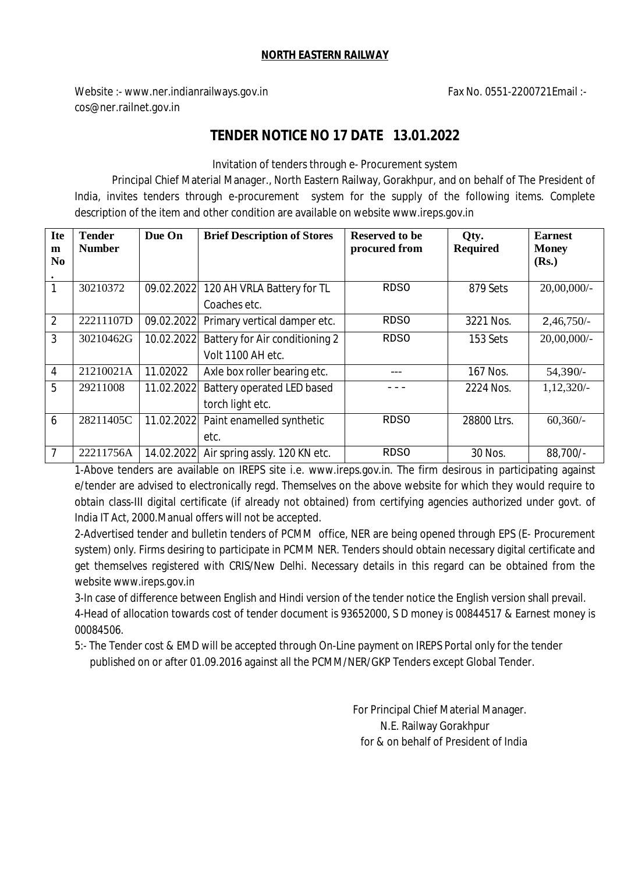## **NORTH EASTERN RAILWAY**

Website :- www.ner.indianrailways.gov.in Fax No. 0551-2200721Email :cos@ner.railnet.gov.in

## **TENDER NOTICE NO 17 DATE 13.01.2022**

Invitation of tenders through e- Procurement system

Principal Chief Material Manager., North Eastern Railway, Gorakhpur, and on behalf of The President of India, invites tenders through e-procurement system for the supply of the following items. Complete description of the item and other condition are available on website www.ireps.gov.in

| <b>Ite</b><br>m | <b>Tender</b><br><b>Number</b> | Due On     | <b>Brief Description of Stores</b>                  | <b>Reserved to be</b><br>procured from | Qty.<br><b>Required</b> | <b>Earnest</b><br><b>Money</b> |  |
|-----------------|--------------------------------|------------|-----------------------------------------------------|----------------------------------------|-------------------------|--------------------------------|--|
| N <sub>0</sub>  |                                |            |                                                     |                                        |                         | (Rs.)                          |  |
| $\bullet$<br>1  | 30210372                       | 09.02.2022 | 120 AH VRLA Battery for TL                          | <b>RDSO</b>                            | 879 Sets                | $20,00,000/$ -                 |  |
| $\overline{2}$  | 22211107D                      | 09.02.2022 | Coaches etc.<br>Primary vertical damper etc.        | <b>RDSO</b>                            | 3221 Nos.               | $2,46,750/-$                   |  |
| 3               | 30210462G                      | 10.02.2022 | Battery for Air conditioning 2<br>Volt 1100 AH etc. | <b>RDSO</b>                            | 153 Sets                | $20,00,000/$ -                 |  |
| $\overline{4}$  | 21210021A                      | 11.02022   | Axle box roller bearing etc.                        |                                        | 167 Nos.                | 54,390/-                       |  |
| 5               | 29211008                       | 11.02.2022 | Battery operated LED based<br>torch light etc.      |                                        | 2224 Nos.               | 1,12,320/-                     |  |
| 6               | 28211405C                      | 11.02.2022 | Paint enamelled synthetic<br>etc.                   | <b>RDSO</b>                            | 28800 Ltrs.             | $60,360/-$                     |  |
| 7               | 22211756A                      | 14.02.2022 | Air spring assly. 120 KN etc.                       | <b>RDSO</b>                            | 30 Nos.                 | 88,700/-                       |  |

1-Above tenders are available on IREPS site i.e. www.ireps.gov.in. The firm desirous in participating against e/tender are advised to electronically regd. Themselves on the above website for which they would require to obtain class-III digital certificate (if already not obtained) from certifying agencies authorized under govt. of India IT Act, 2000.Manual offers will not be accepted.

2-Advertised tender and bulletin tenders of PCMM office, NER are being opened through EPS (E- Procurement system) only. Firms desiring to participate in PCMM NER. Tenders should obtain necessary digital certificate and get themselves registered with CRIS/New Delhi. Necessary details in this regard can be obtained from the website www.ireps.gov.in

3-In case of difference between English and Hindi version of the tender notice the English version shall prevail. 4-Head of allocation towards cost of tender document is 93652000, S D money is 00844517 & Earnest money is 00084506.

5:- The Tender cost & EMD will be accepted through On-Line payment on IREPS Portal only for the tender published on or after 01.09.2016 against all the PCMM/NER/GKP Tenders except Global Tender.

> For Principal Chief Material Manager. N.E. Railway Gorakhpur  *f*or & on behalf of President of India